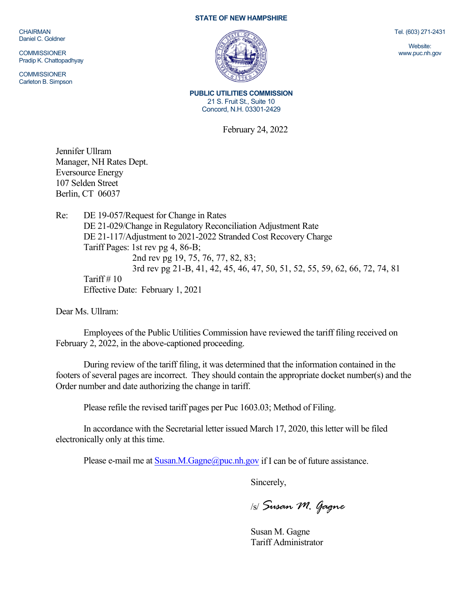CHAIRMAN Daniel C. Goldner

**COMMISSIONER** Pradip K. Chattopadhyay

**COMMISSIONER** Carleton B. Simpson

## **STATE OF NEW HAMPSHIRE**



**PUBLIC UTILITIES COMMISSION** 21 S. Fruit St., Suite 10 Concord, N.H. 03301-2429

February 24, 2022

Jennifer Ullram Manager, NH Rates Dept. Eversource Energy 107 Selden Street Berlin, CT 06037

Re: DE 19-057/Request for Change in Rates DE 21-029/Change in Regulatory Reconciliation Adjustment Rate DE 21-117/Adjustment to 2021-2022 Stranded Cost Recovery Charge Tariff Pages: 1st rev pg 4, 86-B; 2nd rev pg 19, 75, 76, 77, 82, 83; 3rd rev pg 21-B, 41, 42, 45, 46, 47, 50, 51, 52, 55, 59, 62, 66, 72, 74, 81 Tariff  $# 10$ Effective Date: February 1, 2021

Dear Ms. Ullram:

Employees of the Public Utilities Commission have reviewed the tariff filing received on February 2, 2022, in the above-captioned proceeding.

During review of the tariff filing, it was determined that the information contained in the footers of several pages are incorrect. They should contain the appropriate docket number(s) and the Order number and date authorizing the change in tariff.

Please refile the revised tariff pages per Puc 1603.03; Method of Filing.

In accordance with the Secretarial letter issued March 17, 2020, this letter will be filed electronically only at this time.

Please e-mail me at  $Susan.M.Gagne@puc.nh.gov$  if I can be of future assistance.

Sincerely,

/s/ *Susan M. Gagne*

Susan M. Gagne Tariff Administrator Tel. (603) 271-2431

Website: www.puc.nh.gov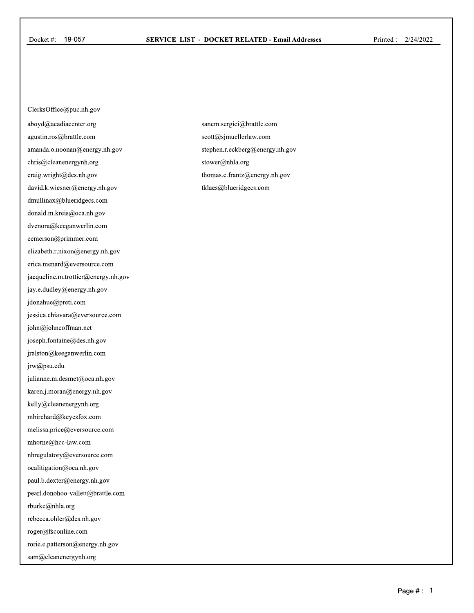ClerksOffice@puc.nh.gov aboyd@acadiacenter.org agustin.ros@brattle.com amanda.o.noonan@energy.nh.gov chris@cleanenergynh.org craig.wright@des.nh.gov david.k.wiesner@energy.nh.gov dmullinax@blueridgecs.com donald.m.kreis@oca.nh.gov dvenora@keeganwerlin.com eemerson@primmer.com elizabeth.r.nixon@energy.nh.gov erica.menard@eversource.com jacqueline.m. trottier@energy.nh.gov jay.e.dudley@energy.nh.gov jdonahue@preti.com jessica.chiavara@eversource.com john@johncoffinan.net joseph.fontaine@des.nh.gov jralston@keeganwerlin.com jrw@psu.edu julianne.m.desmet@oca.nh.gov karen.j.moran@energy.nh.gov kelly@cleanenergynh.org mbirchard@keyesfox.com melissa.price@eversource.com mhome@hcc-law.com nhregulatory@eversource.com ocalitigation@oca.nh.gov paul.b.dexter@energy.nh.gov pearl.donohoo-vallett@brattle.com rburke@nhla.org rebecca.ohler@des.nh.gov roger@fsconline.com rorie.e.patterson@energy.nh.gov sam@cleanenergynh.org

sanem.sergici@brattle.com scott@sjmuellerlaw.com stephen.r.eckberg@energy.nh.gov stower@nhla.org thomas.c.frantz@energy.nh.gov tklaes@blueridgecs.com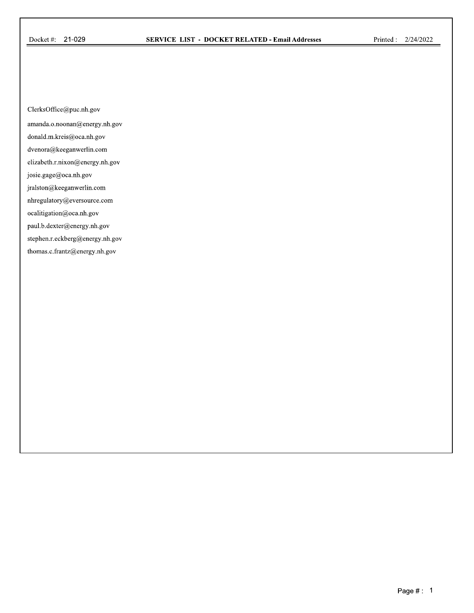ClerksOffice@puc.nh.gov

amanda.o.noonan@energy.nh.gov

donald.m.kreis@oca.nh.gov

dvenora@keeganwerlin.com

elizabeth.r.nixon@energy.nh.gov

josie.gage@oca.nh.gov

jralston@keeganwerlin.com

nhregulatory@eversource.com

ocalitigation@oca.nh.gov

paul.b.dexter@energy.nh.gov

stephen.r.eckberg@energy.nh.gov

thomas.c.frantz@energy.nh.gov